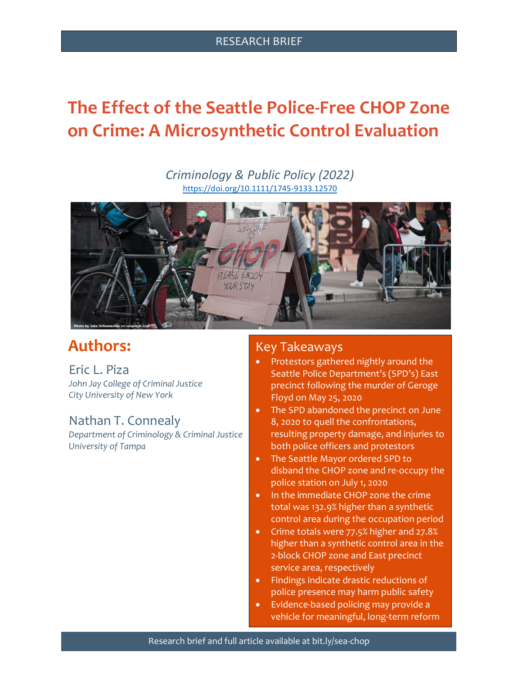#### RESEARCH BRIEF

# **The Effect of the Seattle Police-Free CHOP Zone on Crime: A Microsynthetic Control Evaluation**

*Criminology & Public Policy (2022)* <https://doi.org/10.1111/1745-9133.12570>



## **Authors:**

Eric L. Piza *John Jay College of Criminal Justice City University of New York*

## Nathan T. Connealy

*Department of Criminology & Criminal Justice University of Tampa*

## Key Takeaways

- Protestors gathered nightly around the Seattle Police Department's (SPD's) East precinct following the murder of Geroge Floyd on May 25, 2020
- The SPD abandoned the precinct on June 8, 2020 to quell the confrontations, resulting property damage, and injuries to both police officers and protestors
- The Seattle Mayor ordered SPD to disband the CHOP zone and re-occupy the police station on July 1, 2020
- In the immediate CHOP zone the crime total was 132.9% higher than a synthetic control area during the occupation period
- Crime totals were 77.5% higher and 27.8% higher than a synthetic control area in the 2-block CHOP zone and East precinct service area, respectively
- Findings indicate drastic reductions of police presence may harm public safety
- Evidence-based policing may provide a vehicle for meaningful, long-term reform